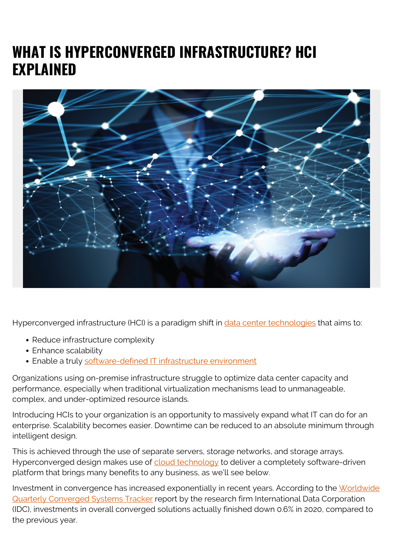# **WHAT IS HYPERCONVERGED INFRASTRUCTURE? HCI EXPLAINED**



Hyperconverged infrastructure (HCI) is a paradigm shift in [data center technologies](https://blogs.bmc.com/blogs/leverage-data-center-automation-less/) that aims to:

- Reduce infrastructure complexity
- Enhance scalability
- Enable a truly [software-defined IT infrastructure environment](https://blogs.bmc.com/blogs/software-defined-infrastructure/)

Organizations using on-premise infrastructure struggle to optimize data center capacity and performance, especially when traditional virtualization mechanisms lead to unmanageable, complex, and under-optimized resource islands.

Introducing HCIs to your organization is an opportunity to massively expand what IT can do for an enterprise. Scalability becomes easier. Downtime can be reduced to an absolute minimum through intelligent design.

This is achieved through the use of separate servers, storage networks, and storage arrays. Hyperconverged design makes use of [cloud technology](https://blogs.bmc.com/blogs/cloud-infrastructure/) to deliver a completely software-driven platform that brings many benefits to any business, as we'll see below.

Investment in convergence has increased exponentially in recent years. According to the [Worldwide](https://www.idc.com/getdoc.jsp?containerId=prUS45731219) [Quarterly Converged Systems Tracker](https://www.idc.com/getdoc.jsp?containerId=prUS45731219) report by the research firm International Data Corporation (IDC), investments in overall converged solutions actually finished down 0.6% in 2020, compared to the previous year.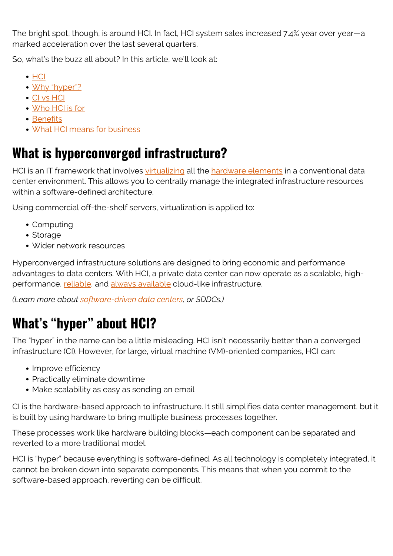The bright spot, though, is around HCI. In fact, HCI system sales increased 7.4% year over year—a marked acceleration over the last several quarters.

So, what's the buzz all about? In this article, we'll look at:

- [HCI](#page--1-0)
- [Why "hyper"?](#page--1-0)
- [CI vs HCI](#page--1-0)
- [Who HCI is for](#page--1-0)
- [Benefits](#page--1-0)
- [What HCI means for business](#page--1-0)

### **What is hyperconverged infrastructure?**

HCI is an IT framework that involves [virtualizing](https://blogs.bmc.com/blogs/it-virtualization/) all the [hardware elements](https://blogs.bmc.com/blogs/what-is-it-infrastructure-and-what-are-its-components/) in a conventional data center environment. This allows you to centrally manage the integrated infrastructure resources within a software-defined architecture.

Using commercial off-the-shelf servers, virtualization is applied to:

- Computing
- Storage
- Wider network resources

Hyperconverged infrastructure solutions are designed to bring economic and performance advantages to data centers. With HCI, a private data center can now operate as a scalable, highperformance, [reliable](https://blogs.bmc.com/blogs/reliability-vs-availability/), and [always available](https://blogs.bmc.com/blogs/high-availability/) cloud-like infrastructure.

*(Learn more about [software-driven data centers](https://blogs.bmc.com/blogs/what-is-a-software-defined-data-center/), or SDDCs.)*

# **What's "hyper" about HCI?**

The "hyper" in the name can be a little misleading. HCI isn't necessarily better than a converged infrastructure (CI). However, for large, virtual machine (VM)-oriented companies, HCI can:

- Improve efficiency
- Practically eliminate downtime
- Make scalability as easy as sending an email

CI is the hardware-based approach to infrastructure. It still simplifies data center management, but it is built by using hardware to bring multiple business processes together.

These processes work like hardware building blocks—each component can be separated and reverted to a more traditional model.

HCI is "hyper" because everything is software-defined. As all technology is completely integrated, it cannot be broken down into separate components. This means that when you commit to the software-based approach, reverting can be difficult.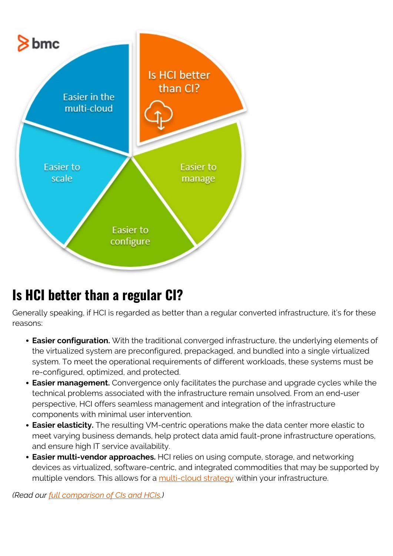

### **Is HCI better than a regular CI?**

Generally speaking, if HCI is regarded as better than a regular converted infrastructure, it's for these reasons:

- **Easier configuration.** With the traditional converged infrastructure, the underlying elements of the virtualized system are preconfigured, prepackaged, and bundled into a single virtualized system. To meet the operational requirements of different workloads, these systems must be re-configured, optimized, and protected.
- **Easier management.** Convergence only facilitates the purchase and upgrade cycles while the technical problems associated with the infrastructure remain unsolved. From an end-user perspective, HCI offers seamless management and integration of the infrastructure components with minimal user intervention.
- **Easier elasticity.** The resulting VM-centric operations make the data center more elastic to meet varying business demands, help protect data amid fault-prone infrastructure operations, and ensure high IT service availability.
- **Easier multi-vendor approaches.** HCI relies on using compute, storage, and networking devices as virtualized, software-centric, and integrated commodities that may be supported by multiple vendors. This allows for a [multi-cloud strategy](https://blogs.bmc.com/blogs/multi-cloud-strategy/) within your infrastructure.

*(Read our [full comparison of CIs and HCIs](https://blogs.bmc.com/blogs/converged-infrastructure-vs-hyper-converged-infrastructure/).)*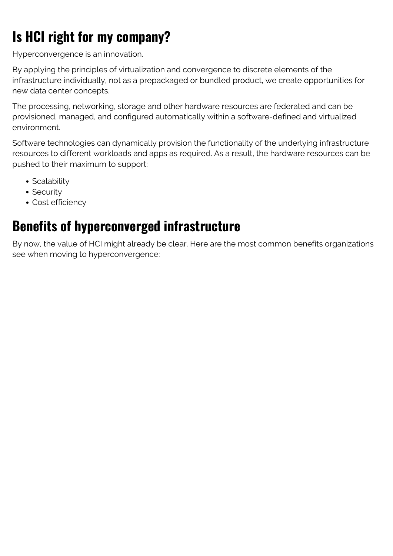# **Is HCI right for my company?**

Hyperconvergence is an innovation.

By applying the principles of virtualization and convergence to discrete elements of the infrastructure individually, not as a prepackaged or bundled product, we create opportunities for new data center concepts.

The processing, networking, storage and other hardware resources are federated and can be provisioned, managed, and configured automatically within a software-defined and virtualized environment.

Software technologies can dynamically provision the functionality of the underlying infrastructure resources to different workloads and apps as required. As a result, the hardware resources can be pushed to their maximum to support:

- Scalability
- Security
- Cost efficiency

## **Benefits of hyperconverged infrastructure**

By now, the value of HCI might already be clear. Here are the most common benefits organizations see when moving to hyperconvergence: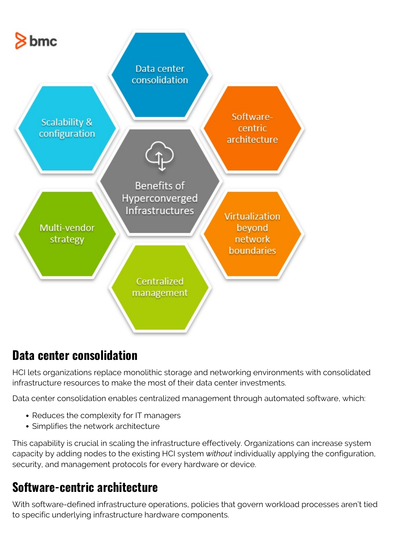

#### **Data center consolidation**

HCI lets organizations replace monolithic storage and networking environments with consolidated infrastructure resources to make the most of their data center investments.

Data center consolidation enables centralized management through automated software, which:

- Reduces the complexity for IT managers
- Simplifies the network architecture

This capability is crucial in scaling the infrastructure effectively. Organizations can increase system capacity by adding nodes to the existing HCI system *without* individually applying the configuration, security, and management protocols for every hardware or device.

#### **Software-centric architecture**

With software-defined infrastructure operations, policies that govern workload processes aren't tied to specific underlying infrastructure hardware components.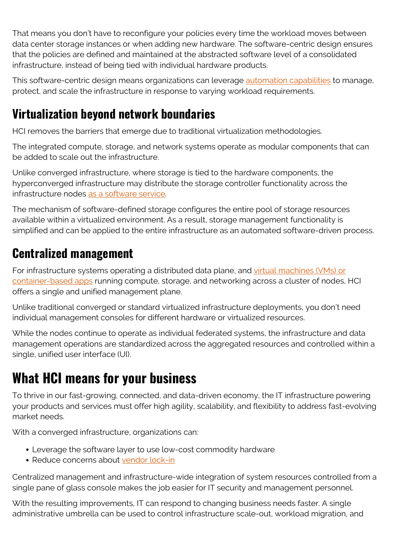That means you don't have to reconfigure your policies every time the workload moves between data center storage instances or when adding new hardware. The software-centric design ensures that the policies are defined and maintained at the abstracted software level of a consolidated infrastructure, instead of being tied with individual hardware products.

This software-centric design means organizations can leverage [automation capabilities](https://blogs.bmc.com/blogs/it-automation/) to manage, protect, and scale the infrastructure in response to varying workload requirements.

#### **Virtualization beyond network boundaries**

HCI removes the barriers that emerge due to traditional virtualization methodologies.

The integrated compute, storage, and network systems operate as modular components that can be added to scale out the infrastructure.

Unlike converged infrastructure, where storage is tied to the hardware components, the hyperconverged infrastructure may distribute the storage controller functionality across the infrastructure nodes [as a software service](https://blogs.bmc.com/blogs/itaas-it-as-a-service/).

The mechanism of software-defined storage configures the entire pool of storage resources available within a virtualized environment. As a result, storage management functionality is simplified and can be applied to the entire infrastructure as an automated software-driven process.

#### **Centralized management**

For infrastructure systems operating a distributed data plane, and [virtual machines \(VMs\) or](https://blogs.bmc.com/blogs/containers-vs-virtual-machines/) [container-based apps](https://blogs.bmc.com/blogs/containers-vs-virtual-machines/) running compute, storage, and networking across a cluster of nodes, HCI offers a single and unified management plane.

Unlike traditional converged or standard virtualized infrastructure deployments, you don't need individual management consoles for different hardware or virtualized resources.

While the nodes continue to operate as individual federated systems, the infrastructure and data management operations are standardized across the aggregated resources and controlled within a single, unified user interface (UI).

### **What HCI means for your business**

To thrive in our fast-growing, connected, and data-driven economy, the IT infrastructure powering your products and services must offer high agility, scalability, and flexibility to address fast-evolving market needs.

With a converged infrastructure, organizations can:

- Leverage the software layer to use low-cost commodity hardware
- Reduce concerns about [vendor lock-in](https://blogs.bmc.com/blogs/vendor-lock-in/)

Centralized management and infrastructure-wide integration of system resources controlled from a single pane of glass console makes the job easier for IT security and management personnel.

With the resulting improvements, IT can respond to changing business needs faster. A single administrative umbrella can be used to control infrastructure scale-out, workload migration, and